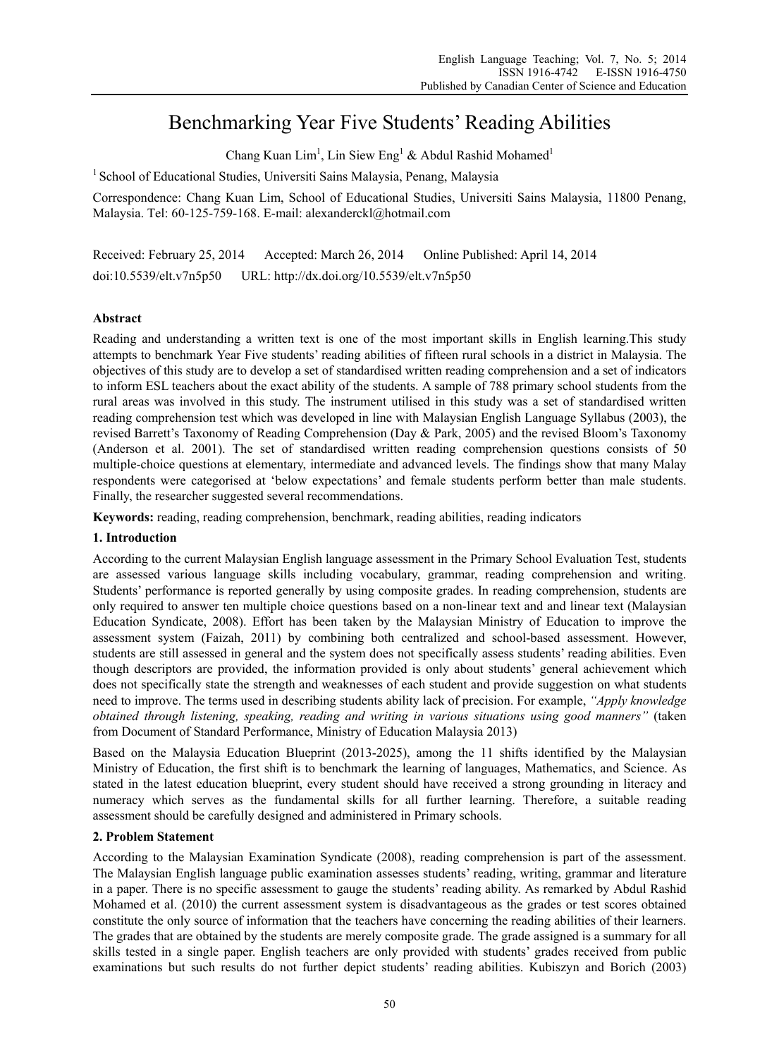# Benchmarking Year Five Students' Reading Abilities

Chang Kuan Lim<sup>1</sup>, Lin Siew Eng<sup>1</sup> & Abdul Rashid Mohamed<sup>1</sup>

<sup>1</sup> School of Educational Studies, Universiti Sains Malaysia, Penang, Malaysia

Correspondence: Chang Kuan Lim, School of Educational Studies, Universiti Sains Malaysia, 11800 Penang, Malaysia. Tel: 60-125-759-168. E-mail: alexanderckl@hotmail.com

Received: February 25, 2014 Accepted: March 26, 2014 Online Published: April 14, 2014 doi:10.5539/elt.v7n5p50 URL: http://dx.doi.org/10.5539/elt.v7n5p50

## **Abstract**

Reading and understanding a written text is one of the most important skills in English learning.This study attempts to benchmark Year Five students' reading abilities of fifteen rural schools in a district in Malaysia. The objectives of this study are to develop a set of standardised written reading comprehension and a set of indicators to inform ESL teachers about the exact ability of the students. A sample of 788 primary school students from the rural areas was involved in this study. The instrument utilised in this study was a set of standardised written reading comprehension test which was developed in line with Malaysian English Language Syllabus (2003), the revised Barrett's Taxonomy of Reading Comprehension (Day & Park, 2005) and the revised Bloom's Taxonomy (Anderson et al. 2001). The set of standardised written reading comprehension questions consists of 50 multiple-choice questions at elementary, intermediate and advanced levels. The findings show that many Malay respondents were categorised at 'below expectations' and female students perform better than male students. Finally, the researcher suggested several recommendations.

**Keywords:** reading, reading comprehension, benchmark, reading abilities, reading indicators

## **1. Introduction**

According to the current Malaysian English language assessment in the Primary School Evaluation Test, students are assessed various language skills including vocabulary, grammar, reading comprehension and writing. Students' performance is reported generally by using composite grades. In reading comprehension, students are only required to answer ten multiple choice questions based on a non-linear text and and linear text (Malaysian Education Syndicate, 2008). Effort has been taken by the Malaysian Ministry of Education to improve the assessment system (Faizah, 2011) by combining both centralized and school-based assessment. However, students are still assessed in general and the system does not specifically assess students' reading abilities. Even though descriptors are provided, the information provided is only about students' general achievement which does not specifically state the strength and weaknesses of each student and provide suggestion on what students need to improve. The terms used in describing students ability lack of precision. For example, *"Apply knowledge obtained through listening, speaking, reading and writing in various situations using good manners"* (taken from Document of Standard Performance, Ministry of Education Malaysia 2013)

Based on the Malaysia Education Blueprint (2013-2025), among the 11 shifts identified by the Malaysian Ministry of Education, the first shift is to benchmark the learning of languages, Mathematics, and Science. As stated in the latest education blueprint, every student should have received a strong grounding in literacy and numeracy which serves as the fundamental skills for all further learning. Therefore, a suitable reading assessment should be carefully designed and administered in Primary schools.

## **2. Problem Statement**

According to the Malaysian Examination Syndicate (2008), reading comprehension is part of the assessment. The Malaysian English language public examination assesses students' reading, writing, grammar and literature in a paper. There is no specific assessment to gauge the students' reading ability. As remarked by Abdul Rashid Mohamed et al. (2010) the current assessment system is disadvantageous as the grades or test scores obtained constitute the only source of information that the teachers have concerning the reading abilities of their learners. The grades that are obtained by the students are merely composite grade. The grade assigned is a summary for all skills tested in a single paper. English teachers are only provided with students' grades received from public examinations but such results do not further depict students' reading abilities. Kubiszyn and Borich (2003)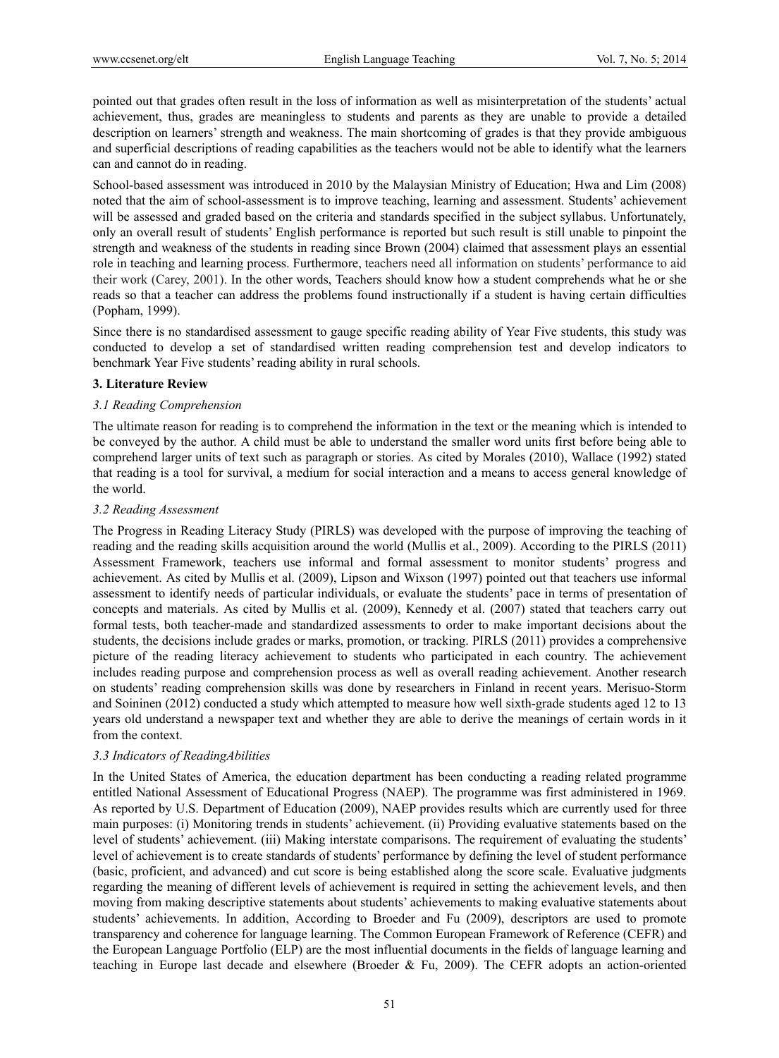pointed out that grades often result in the loss of information as well as misinterpretation of the students' actual achievement, thus, grades are meaningless to students and parents as they are unable to provide a detailed description on learners' strength and weakness. The main shortcoming of grades is that they provide ambiguous and superficial descriptions of reading capabilities as the teachers would not be able to identify what the learners can and cannot do in reading.

School-based assessment was introduced in 2010 by the Malaysian Ministry of Education; Hwa and Lim (2008) noted that the aim of school-assessment is to improve teaching, learning and assessment. Students' achievement will be assessed and graded based on the criteria and standards specified in the subject syllabus. Unfortunately, only an overall result of students' English performance is reported but such result is still unable to pinpoint the strength and weakness of the students in reading since Brown (2004) claimed that assessment plays an essential role in teaching and learning process. Furthermore, teachers need all information on students' performance to aid their work (Carey, 2001). In the other words, Teachers should know how a student comprehends what he or she reads so that a teacher can address the problems found instructionally if a student is having certain difficulties (Popham, 1999).

Since there is no standardised assessment to gauge specific reading ability of Year Five students, this study was conducted to develop a set of standardised written reading comprehension test and develop indicators to benchmark Year Five students' reading ability in rural schools.

#### **3. Literature Review**

#### *3.1 Reading Comprehension*

The ultimate reason for reading is to comprehend the information in the text or the meaning which is intended to be conveyed by the author. A child must be able to understand the smaller word units first before being able to comprehend larger units of text such as paragraph or stories. As cited by Morales (2010), Wallace (1992) stated that reading is a tool for survival, a medium for social interaction and a means to access general knowledge of the world.

#### *3.2 Reading Assessment*

The Progress in Reading Literacy Study (PIRLS) was developed with the purpose of improving the teaching of reading and the reading skills acquisition around the world (Mullis et al., 2009). According to the PIRLS (2011) Assessment Framework, teachers use informal and formal assessment to monitor students' progress and achievement. As cited by Mullis et al. (2009), Lipson and Wixson (1997) pointed out that teachers use informal assessment to identify needs of particular individuals, or evaluate the students' pace in terms of presentation of concepts and materials. As cited by Mullis et al. (2009), Kennedy et al. (2007) stated that teachers carry out formal tests, both teacher-made and standardized assessments to order to make important decisions about the students, the decisions include grades or marks, promotion, or tracking. PIRLS (2011) provides a comprehensive picture of the reading literacy achievement to students who participated in each country. The achievement includes reading purpose and comprehension process as well as overall reading achievement. Another research on students' reading comprehension skills was done by researchers in Finland in recent years. Merisuo-Storm and Soininen (2012) conducted a study which attempted to measure how well sixth-grade students aged 12 to 13 years old understand a newspaper text and whether they are able to derive the meanings of certain words in it from the context.

#### *3.3 Indicators of ReadingAbilities*

In the United States of America, the education department has been conducting a reading related programme entitled National Assessment of Educational Progress (NAEP). The programme was first administered in 1969. As reported by U.S. Department of Education (2009), NAEP provides results which are currently used for three main purposes: (i) Monitoring trends in students' achievement. (ii) Providing evaluative statements based on the level of students' achievement. (iii) Making interstate comparisons. The requirement of evaluating the students' level of achievement is to create standards of students' performance by defining the level of student performance (basic, proficient, and advanced) and cut score is being established along the score scale. Evaluative judgments regarding the meaning of different levels of achievement is required in setting the achievement levels, and then moving from making descriptive statements about students' achievements to making evaluative statements about students' achievements. In addition, According to Broeder and Fu (2009), descriptors are used to promote transparency and coherence for language learning. The Common European Framework of Reference (CEFR) and the European Language Portfolio (ELP) are the most influential documents in the fields of language learning and teaching in Europe last decade and elsewhere (Broeder & Fu, 2009). The CEFR adopts an action-oriented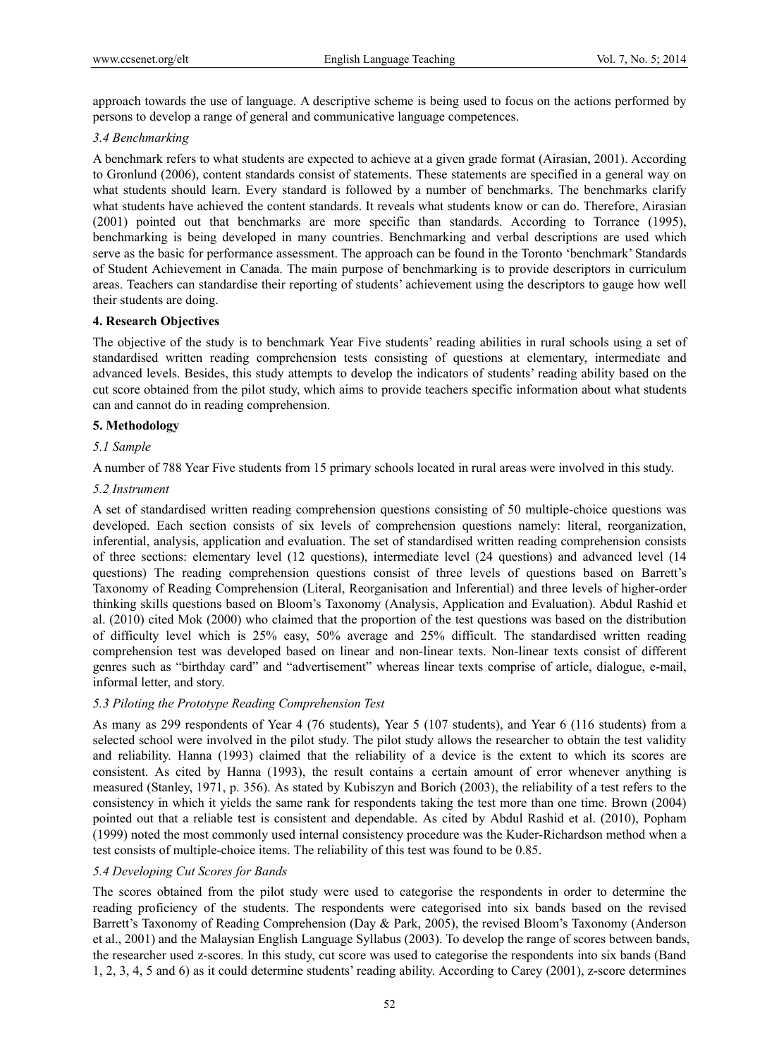approach towards the use of language. A descriptive scheme is being used to focus on the actions performed by persons to develop a range of general and communicative language competences.

#### *3.4 Benchmarking*

A benchmark refers to what students are expected to achieve at a given grade format (Airasian, 2001). According to Gronlund (2006), content standards consist of statements. These statements are specified in a general way on what students should learn. Every standard is followed by a number of benchmarks. The benchmarks clarify what students have achieved the content standards. It reveals what students know or can do. Therefore, Airasian (2001) pointed out that benchmarks are more specific than standards. According to Torrance (1995), benchmarking is being developed in many countries. Benchmarking and verbal descriptions are used which serve as the basic for performance assessment. The approach can be found in the Toronto 'benchmark' Standards of Student Achievement in Canada. The main purpose of benchmarking is to provide descriptors in curriculum areas. Teachers can standardise their reporting of students' achievement using the descriptors to gauge how well their students are doing.

#### **4. Research Objectives**

The objective of the study is to benchmark Year Five students' reading abilities in rural schools using a set of standardised written reading comprehension tests consisting of questions at elementary, intermediate and advanced levels. Besides, this study attempts to develop the indicators of students' reading ability based on the cut score obtained from the pilot study, which aims to provide teachers specific information about what students can and cannot do in reading comprehension.

#### **5. Methodology**

#### *5.1 Sample*

A number of 788 Year Five students from 15 primary schools located in rural areas were involved in this study.

#### *5.2 Instrument*

A set of standardised written reading comprehension questions consisting of 50 multiple-choice questions was developed. Each section consists of six levels of comprehension questions namely: literal, reorganization, inferential, analysis, application and evaluation. The set of standardised written reading comprehension consists of three sections: elementary level (12 questions), intermediate level (24 questions) and advanced level (14 questions) The reading comprehension questions consist of three levels of questions based on Barrett's Taxonomy of Reading Comprehension (Literal, Reorganisation and Inferential) and three levels of higher-order thinking skills questions based on Bloom's Taxonomy (Analysis, Application and Evaluation). Abdul Rashid et al. (2010) cited Mok (2000) who claimed that the proportion of the test questions was based on the distribution of difficulty level which is 25% easy, 50% average and 25% difficult. The standardised written reading comprehension test was developed based on linear and non-linear texts. Non-linear texts consist of different genres such as "birthday card" and "advertisement" whereas linear texts comprise of article, dialogue, e-mail, informal letter, and story.

#### *5.3 Piloting the Prototype Reading Comprehension Test*

As many as 299 respondents of Year 4 (76 students), Year 5 (107 students), and Year 6 (116 students) from a selected school were involved in the pilot study. The pilot study allows the researcher to obtain the test validity and reliability. Hanna (1993) claimed that the reliability of a device is the extent to which its scores are consistent. As cited by Hanna (1993), the result contains a certain amount of error whenever anything is measured (Stanley, 1971, p. 356). As stated by Kubiszyn and Borich (2003), the reliability of a test refers to the consistency in which it yields the same rank for respondents taking the test more than one time. Brown (2004) pointed out that a reliable test is consistent and dependable. As cited by Abdul Rashid et al. (2010), Popham (1999) noted the most commonly used internal consistency procedure was the Kuder-Richardson method when a test consists of multiple-choice items. The reliability of this test was found to be 0.85.

#### *5.4 Developing Cut Scores for Bands*

The scores obtained from the pilot study were used to categorise the respondents in order to determine the reading proficiency of the students. The respondents were categorised into six bands based on the revised Barrett's Taxonomy of Reading Comprehension (Day & Park, 2005), the revised Bloom's Taxonomy (Anderson et al., 2001) and the Malaysian English Language Syllabus (2003). To develop the range of scores between bands, the researcher used z-scores. In this study, cut score was used to categorise the respondents into six bands (Band 1, 2, 3, 4, 5 and 6) as it could determine students' reading ability. According to Carey (2001), z-score determines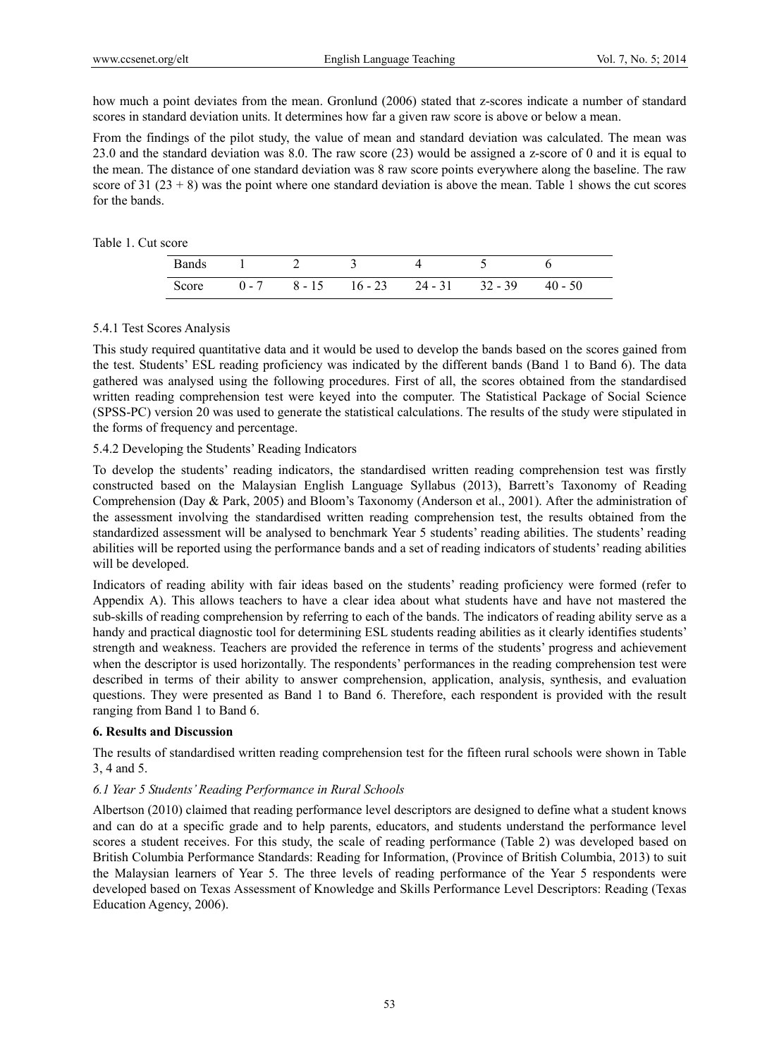how much a point deviates from the mean. Gronlund (2006) stated that z-scores indicate a number of standard scores in standard deviation units. It determines how far a given raw score is above or below a mean.

From the findings of the pilot study, the value of mean and standard deviation was calculated. The mean was 23.0 and the standard deviation was 8.0. The raw score (23) would be assigned a z-score of 0 and it is equal to the mean. The distance of one standard deviation was 8 raw score points everywhere along the baseline. The raw score of 31 ( $23 + 8$ ) was the point where one standard deviation is above the mean. Table 1 shows the cut scores for the bands.

#### Table 1. Cut score

|  |  | Bands 1 2 3 4 5                                    |  |
|--|--|----------------------------------------------------|--|
|  |  | Score $0-7$ $8-15$ $16-23$ $24-31$ $32-39$ $40-50$ |  |

#### 5.4.1 Test Scores Analysis

This study required quantitative data and it would be used to develop the bands based on the scores gained from the test. Students' ESL reading proficiency was indicated by the different bands (Band 1 to Band 6). The data gathered was analysed using the following procedures. First of all, the scores obtained from the standardised written reading comprehension test were keyed into the computer. The Statistical Package of Social Science (SPSS-PC) version 20 was used to generate the statistical calculations. The results of the study were stipulated in the forms of frequency and percentage.

### 5.4.2 Developing the Students' Reading Indicators

To develop the students' reading indicators, the standardised written reading comprehension test was firstly constructed based on the Malaysian English Language Syllabus (2013), Barrett's Taxonomy of Reading Comprehension (Day & Park, 2005) and Bloom's Taxonomy (Anderson et al., 2001). After the administration of the assessment involving the standardised written reading comprehension test, the results obtained from the standardized assessment will be analysed to benchmark Year 5 students' reading abilities. The students' reading abilities will be reported using the performance bands and a set of reading indicators of students' reading abilities will be developed.

Indicators of reading ability with fair ideas based on the students' reading proficiency were formed (refer to Appendix A). This allows teachers to have a clear idea about what students have and have not mastered the sub-skills of reading comprehension by referring to each of the bands. The indicators of reading ability serve as a handy and practical diagnostic tool for determining ESL students reading abilities as it clearly identifies students' strength and weakness. Teachers are provided the reference in terms of the students' progress and achievement when the descriptor is used horizontally. The respondents' performances in the reading comprehension test were described in terms of their ability to answer comprehension, application, analysis, synthesis, and evaluation questions. They were presented as Band 1 to Band 6. Therefore, each respondent is provided with the result ranging from Band 1 to Band 6.

#### **6. Results and Discussion**

The results of standardised written reading comprehension test for the fifteen rural schools were shown in Table 3, 4 and 5.

#### *6.1 Year 5 Students' Reading Performance in Rural Schools*

Albertson (2010) claimed that reading performance level descriptors are designed to define what a student knows and can do at a specific grade and to help parents, educators, and students understand the performance level scores a student receives. For this study, the scale of reading performance (Table 2) was developed based on British Columbia Performance Standards: Reading for Information, (Province of British Columbia, 2013) to suit the Malaysian learners of Year 5. The three levels of reading performance of the Year 5 respondents were developed based on Texas Assessment of Knowledge and Skills Performance Level Descriptors: Reading (Texas Education Agency, 2006).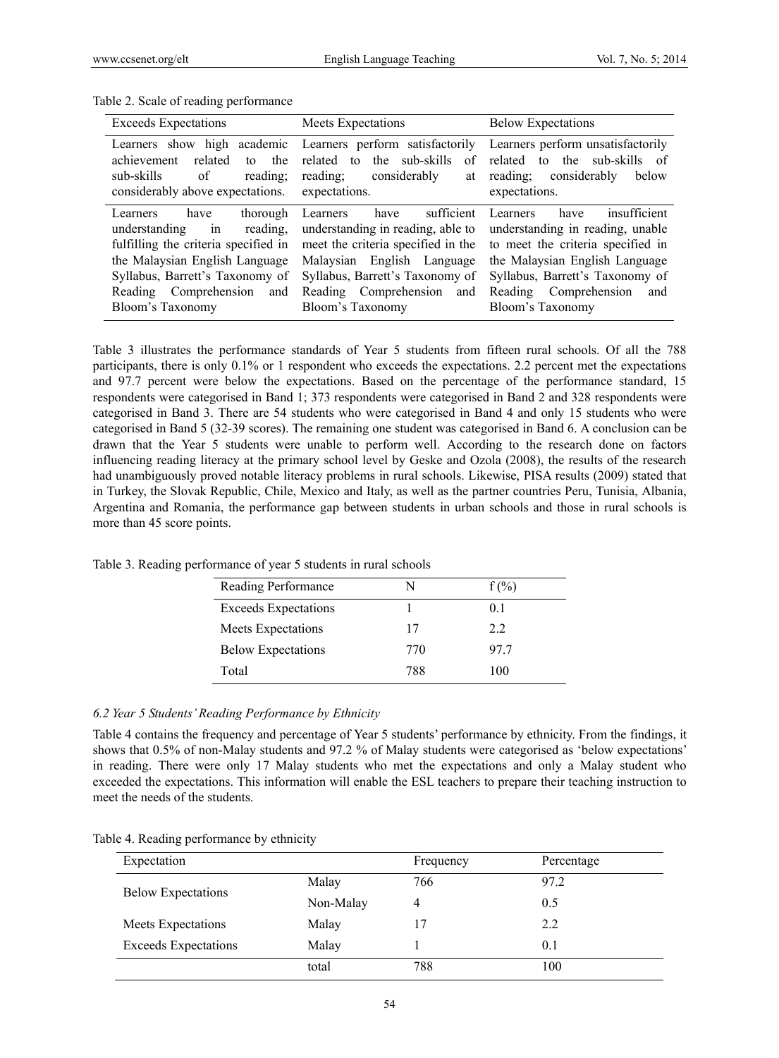| <b>Exceeds Expectations</b>                                                                                                                                                     | Meets Expectations                                                                                                                                                                                                                                            | <b>Below Expectations</b>                                                                                                                                                                                                       |
|---------------------------------------------------------------------------------------------------------------------------------------------------------------------------------|---------------------------------------------------------------------------------------------------------------------------------------------------------------------------------------------------------------------------------------------------------------|---------------------------------------------------------------------------------------------------------------------------------------------------------------------------------------------------------------------------------|
| to the<br>related<br>achievement<br>of<br>sub-skills<br>reading;<br>considerably above expectations.                                                                            | related to the sub-skills<br>of<br>reading; considerably<br>at<br>expectations.                                                                                                                                                                               | Learners show high academic Learners perform satisfactorily Learners perform unsatisfactorily<br>to the sub-skills of<br>related<br>reading; considerably<br>below<br>expectations.                                             |
| have<br>thorough<br>Learners<br>understanding in reading,<br>the Malaysian English Language<br>Syllabus, Barrett's Taxonomy of<br>Reading Comprehension and<br>Bloom's Taxonomy | sufficient<br>Learners have<br>understanding in reading, able to<br>fulfilling the criteria specified in meet the criteria specified in the<br>Malaysian English Language<br>Syllabus, Barrett's Taxonomy of<br>Reading Comprehension and<br>Bloom's Taxonomy | insufficient<br>have<br>Learners<br>understanding in reading, unable<br>to meet the criteria specified in<br>the Malaysian English Language<br>Syllabus, Barrett's Taxonomy of<br>Reading Comprehension and<br>Bloom's Taxonomy |

Table 2. Scale of reading performance

Table 3 illustrates the performance standards of Year 5 students from fifteen rural schools. Of all the 788 participants, there is only 0.1% or 1 respondent who exceeds the expectations. 2.2 percent met the expectations and 97.7 percent were below the expectations. Based on the percentage of the performance standard, 15 respondents were categorised in Band 1; 373 respondents were categorised in Band 2 and 328 respondents were categorised in Band 3. There are 54 students who were categorised in Band 4 and only 15 students who were categorised in Band 5 (32-39 scores). The remaining one student was categorised in Band 6. A conclusion can be drawn that the Year 5 students were unable to perform well. According to the research done on factors influencing reading literacy at the primary school level by Geske and Ozola (2008), the results of the research had unambiguously proved notable literacy problems in rural schools. Likewise, PISA results (2009) stated that in Turkey, the Slovak Republic, Chile, Mexico and Italy, as well as the partner countries Peru, Tunisia, Albania, Argentina and Romania, the performance gap between students in urban schools and those in rural schools is more than 45 score points.

| Reading Performance         | N   | $f(\%)$ |
|-----------------------------|-----|---------|
| <b>Exceeds Expectations</b> |     | 01      |
| Meets Expectations          | 17  | 22      |
| <b>Below Expectations</b>   | 770 | 977     |
| Total                       | 788 | 100     |

Table 3. Reading performance of year 5 students in rural schools

#### *6.2 Year 5 Students' Reading Performance by Ethnicity*

Table 4 contains the frequency and percentage of Year 5 students' performance by ethnicity. From the findings, it shows that 0.5% of non-Malay students and 97.2 % of Malay students were categorised as 'below expectations' in reading. There were only 17 Malay students who met the expectations and only a Malay student who exceeded the expectations. This information will enable the ESL teachers to prepare their teaching instruction to meet the needs of the students.

|  | Table 4. Reading performance by ethnicity |  |
|--|-------------------------------------------|--|
|  |                                           |  |

| Expectation                 |           | Frequency | Percentage |
|-----------------------------|-----------|-----------|------------|
| <b>Below Expectations</b>   | Malay     | 766       | 97.2       |
|                             | Non-Malay |           | 0.5        |
| Meets Expectations          | Malay     |           | 2.2        |
| <b>Exceeds Expectations</b> | Malay     |           | 0.1        |
|                             | total     | 788       | 100        |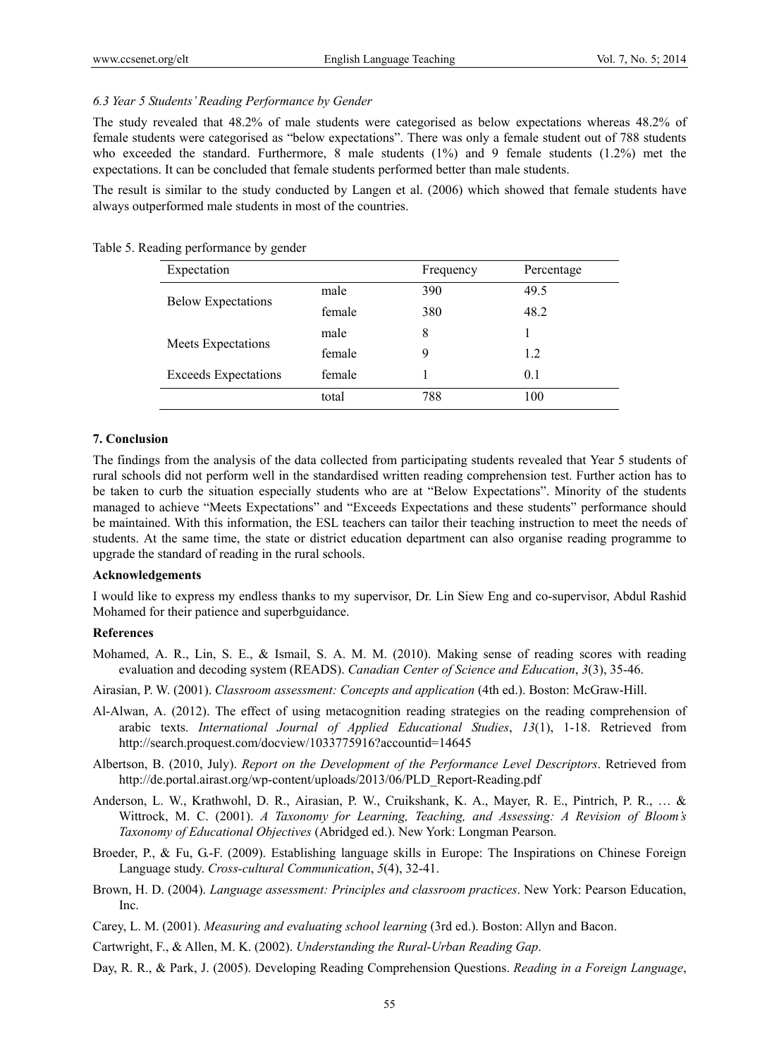#### *6.3 Year 5 Students' Reading Performance by Gender*

The study revealed that 48.2% of male students were categorised as below expectations whereas 48.2% of female students were categorised as "below expectations". There was only a female student out of 788 students who exceeded the standard. Furthermore, 8 male students  $(1\%)$  and 9 female students  $(1.2\%)$  met the expectations. It can be concluded that female students performed better than male students.

The result is similar to the study conducted by Langen et al. (2006) which showed that female students have always outperformed male students in most of the countries.

| Expectation                 |        | Frequency | Percentage |
|-----------------------------|--------|-----------|------------|
| <b>Below Expectations</b>   | male   | 390       | 49.5       |
|                             | female | 380       | 48.2       |
|                             | male   | 8         |            |
| <b>Meets Expectations</b>   | female | 9         | 1.2        |
| <b>Exceeds Expectations</b> | female |           | 0.1        |
|                             | total  | 788       | 100        |

Table 5. Reading performance by gender

## **7. Conclusion**

The findings from the analysis of the data collected from participating students revealed that Year 5 students of rural schools did not perform well in the standardised written reading comprehension test. Further action has to be taken to curb the situation especially students who are at "Below Expectations". Minority of the students managed to achieve "Meets Expectations" and "Exceeds Expectations and these students" performance should be maintained. With this information, the ESL teachers can tailor their teaching instruction to meet the needs of students. At the same time, the state or district education department can also organise reading programme to upgrade the standard of reading in the rural schools.

#### **Acknowledgements**

I would like to express my endless thanks to my supervisor, Dr. Lin Siew Eng and co-supervisor, Abdul Rashid Mohamed for their patience and superbguidance.

## **References**

- Mohamed, A. R., Lin, S. E., & Ismail, S. A. M. M. (2010). Making sense of reading scores with reading evaluation and decoding system (READS). *Canadian Center of Science and Education*, *3*(3), 35-46.
- Airasian, P. W. (2001). *Classroom assessment: Concepts and application* (4th ed.). Boston: McGraw-Hill.
- Al-Alwan, A. (2012). The effect of using metacognition reading strategies on the reading comprehension of arabic texts. *International Journal of Applied Educational Studies*, *13*(1), 1-18. Retrieved from http://search.proquest.com/docview/1033775916?accountid=14645
- Albertson, B. (2010, July). *Report on the Development of the Performance Level Descriptors*. Retrieved from http://de.portal.airast.org/wp-content/uploads/2013/06/PLD\_Report-Reading.pdf
- Anderson, L. W., Krathwohl, D. R., Airasian, P. W., Cruikshank, K. A., Mayer, R. E., Pintrich, P. R., … & Wittrock, M. C. (2001). *A Taxonomy for Learning, Teaching, and Assessing: A Revision of Bloom's Taxonomy of Educational Objectives* (Abridged ed.). New York: Longman Pearson.
- Broeder, P., & Fu, G.-F. (2009). Establishing language skills in Europe: The Inspirations on Chinese Foreign Language study. *Cross-cultural Communication*, *5*(4), 32-41.
- Brown, H. D. (2004). *Language assessment: Principles and classroom practices*. New York: Pearson Education, Inc.
- Carey, L. M. (2001). *Measuring and evaluating school learning* (3rd ed.). Boston: Allyn and Bacon.

Cartwright, F., & Allen, M. K. (2002). *Understanding the Rural-Urban Reading Gap*.

Day, R. R., & Park, J. (2005). Developing Reading Comprehension Questions. *Reading in a Foreign Language*,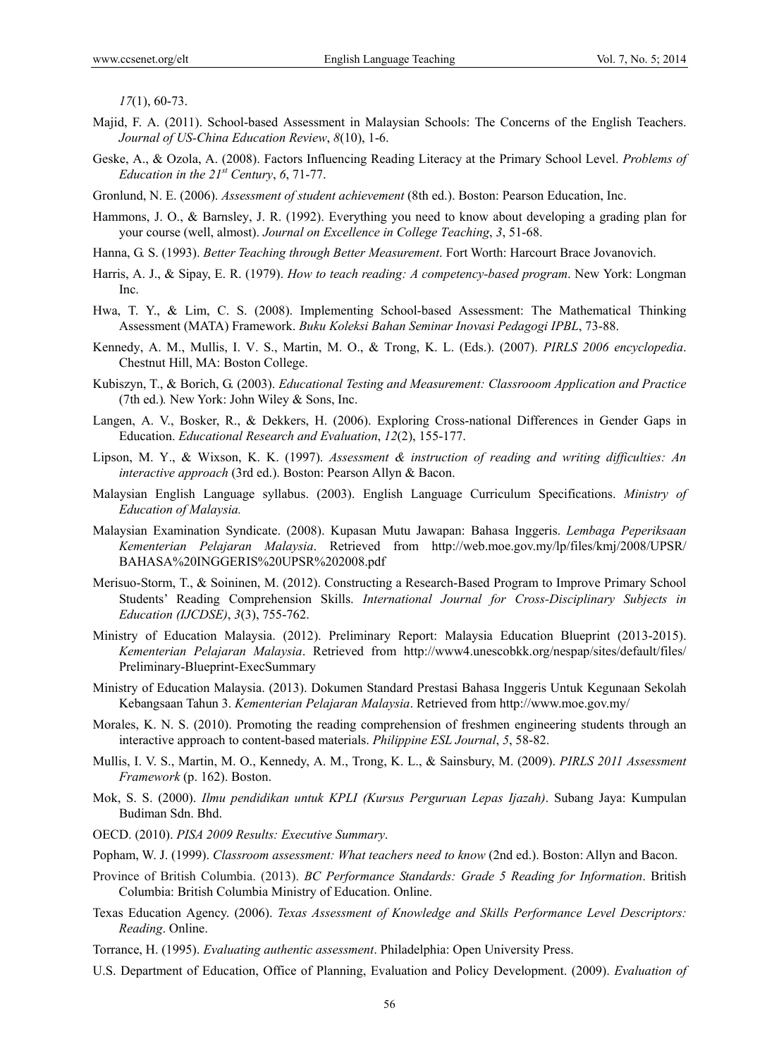*17*(1), 60-73.

- Majid, F. A. (2011). School-based Assessment in Malaysian Schools: The Concerns of the English Teachers. *Journal of US-China Education Review*, *8*(10), 1-6.
- Geske, A., & Ozola, A. (2008). Factors Influencing Reading Literacy at the Primary School Level. *Problems of Education in the 21st Century*, *6*, 71-77.
- Gronlund, N. E. (2006). *Assessment of student achievement* (8th ed.). Boston: Pearson Education, Inc.
- Hammons, J. O., & Barnsley, J. R. (1992). Everything you need to know about developing a grading plan for your course (well, almost). *Journal on Excellence in College Teaching*, *3*, 51-68.
- Hanna, G. S. (1993). *Better Teaching through Better Measurement*. Fort Worth: Harcourt Brace Jovanovich.
- Harris, A. J., & Sipay, E. R. (1979). *How to teach reading: A competency-based program*. New York: Longman Inc.
- Hwa, T. Y., & Lim, C. S. (2008). Implementing School-based Assessment: The Mathematical Thinking Assessment (MATA) Framework. *Buku Koleksi Bahan Seminar Inovasi Pedagogi IPBL*, 73-88.
- Kennedy, A. M., Mullis, I. V. S., Martin, M. O., & Trong, K. L. (Eds.). (2007). *PIRLS 2006 encyclopedia*. Chestnut Hill, MA: Boston College.
- Kubiszyn, T., & Borich, G. (2003). *Educational Testing and Measurement: Classrooom Application and Practice*  (7th ed.)*.* New York: John Wiley & Sons, Inc.
- Langen, A. V., Bosker, R., & Dekkers, H. (2006). Exploring Cross-national Differences in Gender Gaps in Education. *Educational Research and Evaluation*, *12*(2), 155-177.
- Lipson, M. Y., & Wixson, K. K. (1997). *Assessment & instruction of reading and writing difficulties: An interactive approach* (3rd ed.). Boston: Pearson Allyn & Bacon.
- Malaysian English Language syllabus. (2003). English Language Curriculum Specifications. *Ministry of Education of Malaysia.*
- Malaysian Examination Syndicate. (2008). Kupasan Mutu Jawapan: Bahasa Inggeris. *Lembaga Peperiksaan Kementerian Pelajaran Malaysia*. Retrieved from http://web.moe.gov.my/lp/files/kmj/2008/UPSR/ BAHASA%20INGGERIS%20UPSR%202008.pdf
- Merisuo-Storm, T., & Soininen, M. (2012). Constructing a Research-Based Program to Improve Primary School Students' Reading Comprehension Skills. *International Journal for Cross-Disciplinary Subjects in Education (IJCDSE)*, *3*(3), 755-762.
- Ministry of Education Malaysia. (2012). Preliminary Report: Malaysia Education Blueprint (2013-2015). *Kementerian Pelajaran Malaysia*. Retrieved from http://www4.unescobkk.org/nespap/sites/default/files/ Preliminary-Blueprint-ExecSummary
- Ministry of Education Malaysia. (2013). Dokumen Standard Prestasi Bahasa Inggeris Untuk Kegunaan Sekolah Kebangsaan Tahun 3. *Kementerian Pelajaran Malaysia*. Retrieved from http://www.moe.gov.my/
- Morales, K. N. S. (2010). Promoting the reading comprehension of freshmen engineering students through an interactive approach to content-based materials. *Philippine ESL Journal*, *5*, 58-82.
- Mullis, I. V. S., Martin, M. O., Kennedy, A. M., Trong, K. L., & Sainsbury, M. (2009). *PIRLS 2011 Assessment Framework* (p. 162). Boston.
- Mok, S. S. (2000). *Ilmu pendidikan untuk KPLI (Kursus Perguruan Lepas Ijazah)*. Subang Jaya: Kumpulan Budiman Sdn. Bhd.
- OECD. (2010). *PISA 2009 Results: Executive Summary*.
- Popham, W. J. (1999). *Classroom assessment: What teachers need to know* (2nd ed.). Boston: Allyn and Bacon.
- Province of British Columbia. (2013). *BC Performance Standards: Grade 5 Reading for Information*. British Columbia: British Columbia Ministry of Education. Online.
- Texas Education Agency. (2006). *Texas Assessment of Knowledge and Skills Performance Level Descriptors: Reading*. Online.
- Torrance, H. (1995). *Evaluating authentic assessment*. Philadelphia: Open University Press.
- U.S. Department of Education, Office of Planning, Evaluation and Policy Development. (2009). *Evaluation of*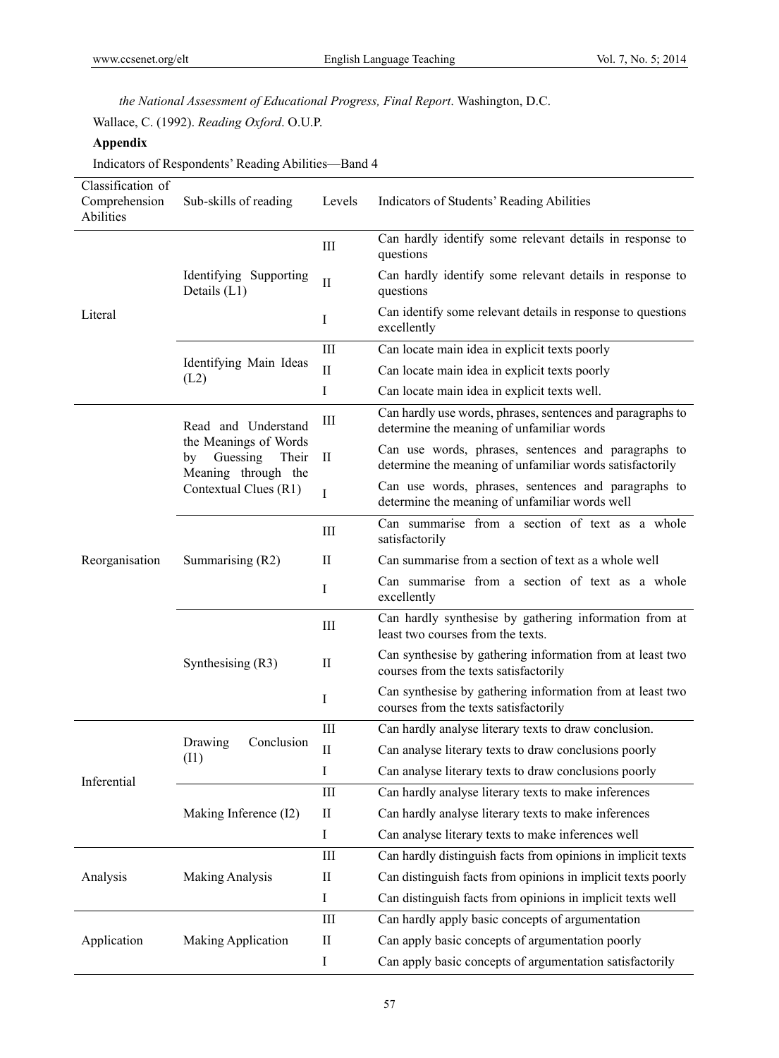*the National Assessment of Educational Progress, Final Report*. Washington, D.C. Wallace, C. (1992). *Reading Oxford*. O.U.P.

## **Appendix**

Indicators of Respondents' Reading Abilities—Band 4

| Classification of<br>Comprehension<br>Abilities | Sub-skills of reading                                                   | Levels                 | Indicators of Students' Reading Abilities                                                                       |
|-------------------------------------------------|-------------------------------------------------------------------------|------------------------|-----------------------------------------------------------------------------------------------------------------|
|                                                 |                                                                         | $\rm III$              | Can hardly identify some relevant details in response to<br>questions                                           |
|                                                 | Identifying Supporting<br>Details $(L1)$                                | $\prod$                | Can hardly identify some relevant details in response to<br>questions                                           |
| Literal                                         |                                                                         | I                      | Can identify some relevant details in response to questions<br>excellently                                      |
|                                                 |                                                                         | Ш                      | Can locate main idea in explicit texts poorly                                                                   |
|                                                 | Identifying Main Ideas<br>(L2)                                          | $\mathop{\mathrm{II}}$ | Can locate main idea in explicit texts poorly                                                                   |
|                                                 |                                                                         | $\bf{I}$               | Can locate main idea in explicit texts well.                                                                    |
|                                                 | Read and Understand                                                     | Ш                      | Can hardly use words, phrases, sentences and paragraphs to<br>determine the meaning of unfamiliar words         |
|                                                 | the Meanings of Words<br>Guessing<br>Their<br>by<br>Meaning through the | $\mathbf{I}$           | Can use words, phrases, sentences and paragraphs to<br>determine the meaning of unfamiliar words satisfactorily |
|                                                 | Contextual Clues (R1)                                                   | $\bf{I}$               | Can use words, phrases, sentences and paragraphs to<br>determine the meaning of unfamiliar words well           |
|                                                 | Summarising (R2)                                                        | Ш                      | Can summarise from a section of text as a whole<br>satisfactorily                                               |
| Reorganisation                                  |                                                                         | $\mathbf{I}$           | Can summarise from a section of text as a whole well                                                            |
|                                                 |                                                                         | I                      | Can summarise from a section of text as a whole<br>excellently                                                  |
|                                                 | Synthesising $(R3)$                                                     | Ш                      | Can hardly synthesise by gathering information from at<br>least two courses from the texts.                     |
|                                                 |                                                                         | $\mathbf{I}$           | Can synthesise by gathering information from at least two<br>courses from the texts satisfactorily              |
|                                                 |                                                                         | $\rm I$                | Can synthesise by gathering information from at least two<br>courses from the texts satisfactorily              |
|                                                 |                                                                         | $\rm III$              | Can hardly analyse literary texts to draw conclusion.                                                           |
|                                                 | Conclusion<br>Drawing<br>(11)                                           | $\mathbf{I}$           | Can analyse literary texts to draw conclusions poorly                                                           |
| Inferential                                     |                                                                         | 1                      | Can analyse literary texts to draw conclusions poorly                                                           |
|                                                 |                                                                         | III                    | Can hardly analyse literary texts to make inferences                                                            |
|                                                 | Making Inference (I2)                                                   | $\mathbf{I}$           | Can hardly analyse literary texts to make inferences                                                            |
|                                                 |                                                                         | I                      | Can analyse literary texts to make inferences well                                                              |
| Analysis                                        |                                                                         | $\rm III$              | Can hardly distinguish facts from opinions in implicit texts                                                    |
|                                                 | <b>Making Analysis</b>                                                  | $\rm II$               | Can distinguish facts from opinions in implicit texts poorly                                                    |
|                                                 |                                                                         | Ι                      | Can distinguish facts from opinions in implicit texts well                                                      |
|                                                 |                                                                         | Ш                      | Can hardly apply basic concepts of argumentation                                                                |
| Application                                     | <b>Making Application</b>                                               | $\rm II$               | Can apply basic concepts of argumentation poorly                                                                |
|                                                 |                                                                         | I                      | Can apply basic concepts of argumentation satisfactorily                                                        |